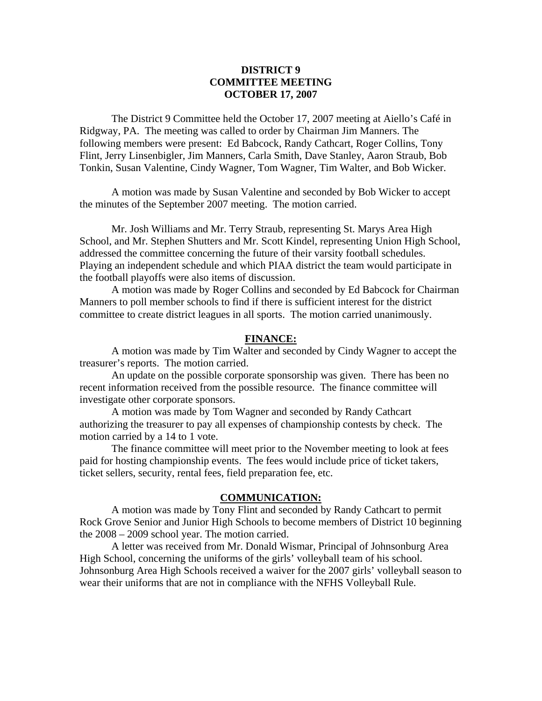# **DISTRICT 9 COMMITTEE MEETING OCTOBER 17, 2007**

 The District 9 Committee held the October 17, 2007 meeting at Aiello's Café in Ridgway, PA. The meeting was called to order by Chairman Jim Manners. The following members were present: Ed Babcock, Randy Cathcart, Roger Collins, Tony Flint, Jerry Linsenbigler, Jim Manners, Carla Smith, Dave Stanley, Aaron Straub, Bob Tonkin, Susan Valentine, Cindy Wagner, Tom Wagner, Tim Walter, and Bob Wicker.

 A motion was made by Susan Valentine and seconded by Bob Wicker to accept the minutes of the September 2007 meeting. The motion carried.

 Mr. Josh Williams and Mr. Terry Straub, representing St. Marys Area High School, and Mr. Stephen Shutters and Mr. Scott Kindel, representing Union High School, addressed the committee concerning the future of their varsity football schedules. Playing an independent schedule and which PIAA district the team would participate in the football playoffs were also items of discussion.

 A motion was made by Roger Collins and seconded by Ed Babcock for Chairman Manners to poll member schools to find if there is sufficient interest for the district committee to create district leagues in all sports. The motion carried unanimously.

### **FINANCE:**

A motion was made by Tim Walter and seconded by Cindy Wagner to accept the treasurer's reports. The motion carried.

 An update on the possible corporate sponsorship was given. There has been no recent information received from the possible resource. The finance committee will investigate other corporate sponsors.

 A motion was made by Tom Wagner and seconded by Randy Cathcart authorizing the treasurer to pay all expenses of championship contests by check. The motion carried by a 14 to 1 vote.

 The finance committee will meet prior to the November meeting to look at fees paid for hosting championship events. The fees would include price of ticket takers, ticket sellers, security, rental fees, field preparation fee, etc.

#### **COMMUNICATION:**

 A motion was made by Tony Flint and seconded by Randy Cathcart to permit Rock Grove Senior and Junior High Schools to become members of District 10 beginning the 2008 – 2009 school year. The motion carried.

 A letter was received from Mr. Donald Wismar, Principal of Johnsonburg Area High School, concerning the uniforms of the girls' volleyball team of his school. Johnsonburg Area High Schools received a waiver for the 2007 girls' volleyball season to wear their uniforms that are not in compliance with the NFHS Volleyball Rule.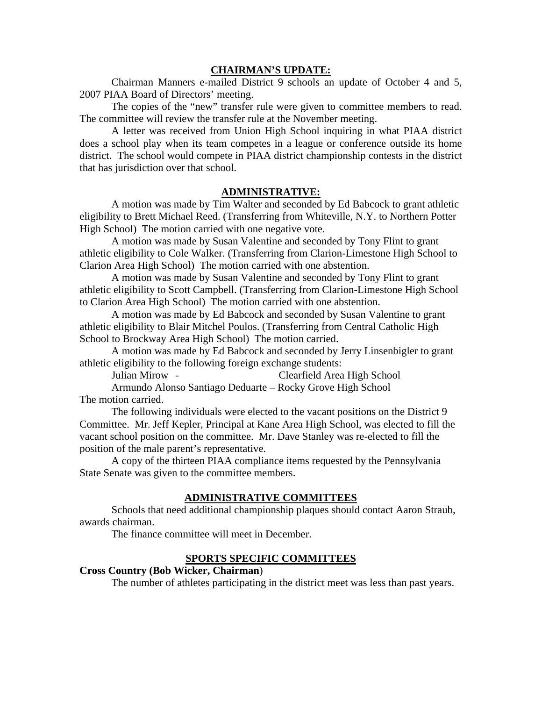#### **CHAIRMAN'S UPDATE:**

 Chairman Manners e-mailed District 9 schools an update of October 4 and 5, 2007 PIAA Board of Directors' meeting.

 The copies of the "new" transfer rule were given to committee members to read. The committee will review the transfer rule at the November meeting.

 A letter was received from Union High School inquiring in what PIAA district does a school play when its team competes in a league or conference outside its home district. The school would compete in PIAA district championship contests in the district that has jurisdiction over that school.

#### **ADMINISTRATIVE:**

 A motion was made by Tim Walter and seconded by Ed Babcock to grant athletic eligibility to Brett Michael Reed. (Transferring from Whiteville, N.Y. to Northern Potter High School) The motion carried with one negative vote.

 A motion was made by Susan Valentine and seconded by Tony Flint to grant athletic eligibility to Cole Walker. (Transferring from Clarion-Limestone High School to Clarion Area High School) The motion carried with one abstention.

 A motion was made by Susan Valentine and seconded by Tony Flint to grant athletic eligibility to Scott Campbell. (Transferring from Clarion-Limestone High School to Clarion Area High School) The motion carried with one abstention.

 A motion was made by Ed Babcock and seconded by Susan Valentine to grant athletic eligibility to Blair Mitchel Poulos. (Transferring from Central Catholic High School to Brockway Area High School) The motion carried.

 A motion was made by Ed Babcock and seconded by Jerry Linsenbigler to grant athletic eligibility to the following foreign exchange students:

Julian Mirow - Clearfield Area High School

 Armundo Alonso Santiago Deduarte – Rocky Grove High School The motion carried.

 The following individuals were elected to the vacant positions on the District 9 Committee. Mr. Jeff Kepler, Principal at Kane Area High School, was elected to fill the vacant school position on the committee. Mr. Dave Stanley was re-elected to fill the position of the male parent's representative.

 A copy of the thirteen PIAA compliance items requested by the Pennsylvania State Senate was given to the committee members.

## **ADMINISTRATIVE COMMITTEES**

 Schools that need additional championship plaques should contact Aaron Straub, awards chairman.

The finance committee will meet in December.

### **SPORTS SPECIFIC COMMITTEES**

### **Cross Country (Bob Wicker, Chairman**)

The number of athletes participating in the district meet was less than past years.